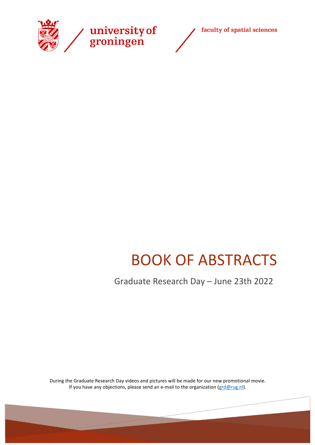



# BOOK OF ABSTRACTS

Graduate Research Day – June 23th 2022

During the Graduate Research Day videos and pictures will be made for our new promotional movie. If you have any objections, please send an e-mail to the organization [\(grd@rug.nl\)](mailto:grd@rug.nl).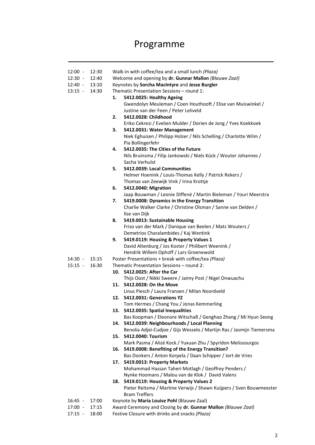## Programme

\_\_\_\_\_\_\_\_\_\_\_\_\_\_\_\_\_\_\_\_\_\_\_\_\_\_\_\_\_\_\_\_\_\_\_\_\_\_\_

| 12:00 -                | 12:30          | Walk-in with coffee/tea and a small lunch (Plaza)                                                               |
|------------------------|----------------|-----------------------------------------------------------------------------------------------------------------|
| $12:30 -$              | 12:40          | Welcome and opening by dr. Gunnar Mallon (Blauwe Zaal)                                                          |
| 12:40 - 13:10          |                | Keynotes by Sorcha MacIntyre and Jesse Burgler                                                                  |
| $13:15 - 14:30$        |                | Thematic Presentation Sessions - round 1:                                                                       |
|                        |                | 1.<br>5412.0025: Healthy Ageing                                                                                 |
|                        |                |                                                                                                                 |
|                        |                | Gwendolyn Meuleman / Coen Houthooft / Elise van Muiswinkel /                                                    |
|                        |                | Justine van der Feen / Peter Leliveld                                                                           |
|                        |                | 5412.0028: Childhood<br>2.                                                                                      |
|                        |                | Eriko Cekrezi / Evelien Mulder / Dorien de Jong / Yves Koekkoek                                                 |
|                        |                | 3.<br>5412.0031: Water Management                                                                               |
|                        |                | Niek Eghuizen / Philipp Holzer / Nils Schelling / Charlotte Wilm /                                              |
|                        |                | Pia Bollingerfehr                                                                                               |
|                        |                | 5412.0035: The Cities of the Future<br>4.                                                                       |
|                        |                | Nils Bruinsma / Filip Jankowski / Niels Kück / Wouter Johannes /                                                |
|                        |                | Sacha Verhulst                                                                                                  |
|                        |                | 5.<br>5412.0039: Local Communities                                                                              |
|                        |                | Helmer Hoenink / Louis-Thomas Kelly / Patrick Rekers /                                                          |
|                        |                | Thomas van Zeewijk Vink / Irina Krottje                                                                         |
|                        |                | 5412.0040: Migration<br>6.                                                                                      |
|                        |                | Jaap Bouwman / Leonie Diffené / Martin Bieleman / Youri Meerstra                                                |
|                        |                | 5419.0008: Dynamics in the Energy Transition<br>7.                                                              |
|                        |                | Charlie Walker Clarke / Christine Olsman / Sanne van Delden /                                                   |
|                        |                | Ilse van Dijk                                                                                                   |
|                        |                | 5419.0013: Sustainable Housing<br>8.                                                                            |
|                        |                | Friso van der Mark / Danique van Beelen / Mats Wouters /                                                        |
|                        |                | Demetrios Charalambides / Kaj Wentink                                                                           |
|                        |                | 5419.0119: Housing & Property Values 1<br>9.                                                                    |
|                        |                | David Altenburg / Jos Koster / Philibert Weenink /                                                              |
|                        |                | Hendrik Willem Ophoff / Lars Groenewold                                                                         |
| 14:30 -                | 15:15          | Poster Presentations + break with coffee/tea (Plaza)                                                            |
| $15:15 -$              | 16:30          | Thematic Presentation Sessions - round 2:                                                                       |
|                        |                | 10. 5412.0025: After the Car                                                                                    |
|                        |                |                                                                                                                 |
|                        |                | Thijs Oost / Nikki Sweere / Jaimy Post / Nigel Onwuachu                                                         |
|                        |                | 11. 5412.0028: On the Move                                                                                      |
|                        |                | Linus Piesch / Laura Fransen / Milan Noordveld                                                                  |
|                        |                | 12. 5412.0031: Generations YZ                                                                                   |
|                        |                | Tom Hermes / Chang You / Jonas Kemmerling                                                                       |
|                        |                | 13. 5412.0035: Spatial Inequalities                                                                             |
|                        |                | Bas Koopman / Eleonore Witschaß / Genghao Zhang / Mi Hyun Seong                                                 |
|                        |                | 5412.0039: Neighbourhoods / Local Planning<br>14.                                                               |
|                        |                | Benolia Adjei-Cudjoe / Gijs Wesselo / Martijn Ras / Jasmijn Tiemersma                                           |
|                        |                | 15. 5412.0040: Tourism                                                                                          |
|                        |                | Mark Pasma / Alizé Kock / Yuxuan Zhu / Spyridon Melissourgos                                                    |
|                        |                | 16. 5419.0008: Benefiting of the Energy Transition?                                                             |
|                        |                | Bas Donkers / Anton Korpela / Daan Schipper / Jort de Vries                                                     |
|                        |                | 5419.0013: Property Markets<br>17.                                                                              |
|                        |                | Mohammad Hassan Taheri Motlagh / Geoffrey Penders /                                                             |
|                        |                | Nynke Hoomans / Malou van de Klok / David Valens                                                                |
|                        |                | 18. 5419.0119: Housing & Property Values 2                                                                      |
|                        |                | Pieter Reitsma / Martine Verwijs / Shawn Kuijpers / Sven Bouwmeester                                            |
|                        |                | <b>Bram Treffers</b>                                                                                            |
| $16:45 -$              | 17:00          | Keynote by Maria Louise Pohl (Blauwe Zaal)                                                                      |
| $17:00 -$<br>$17:15 -$ | 17:15<br>18:00 | Award Ceremony and Closing by dr. Gunnar Mallon (Blauwe Zaal)<br>Festive Closure with drinks and snacks (Plaza) |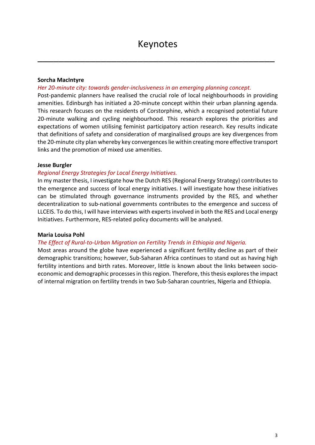\_\_\_\_\_\_\_\_\_\_\_\_\_\_\_\_\_\_\_\_\_\_\_\_\_\_\_\_\_\_\_\_\_\_\_\_\_\_\_\_\_\_\_\_\_

#### **Sorcha MacIntyre**

#### *Her 20-minute city: towards gender-inclusiveness in an emerging planning concept.*

Post-pandemic planners have realised the crucial role of local neighbourhoods in providing amenities. Edinburgh has initiated a 20-minute concept within their urban planning agenda. This research focuses on the residents of Corstorphine, which a recognised potential future 20-minute walking and cycling neighbourhood. This research explores the priorities and expectations of women utilising feminist participatory action research. Key results indicate that definitions of safety and consideration of marginalised groups are key divergences from the 20-minute city plan whereby key convergences lie within creating more effective transport links and the promotion of mixed use amenities.

#### **Jesse Burgler**

#### *Regional Energy Strategies for Local Energy Initiatives.*

In my master thesis, I investigate how the Dutch RES (Regional Energy Strategy) contributes to the emergence and success of local energy initiatives. I will investigate how these initiatives can be stimulated through governance instruments provided by the RES, and whether decentralization to sub-national governments contributes to the emergence and success of LLCEIS. To do this, I will have interviews with experts involved in both the RES and Local energy Initiatives. Furthermore, RES-related policy documents will be analysed.

#### **Maria Louisa Pohl**

#### *The Effect of Rural-to-Urban Migration on Fertility Trends in Ethiopia and Nigeria.*

Most areas around the globe have experienced a significant fertility decline as part of their demographic transitions; however, Sub-Saharan Africa continues to stand out as having high fertility intentions and birth rates. Moreover, little is known about the links between socioeconomic and demographic processes in this region. Therefore, this thesis explores the impact of internal migration on fertility trends in two Sub-Saharan countries, Nigeria and Ethiopia.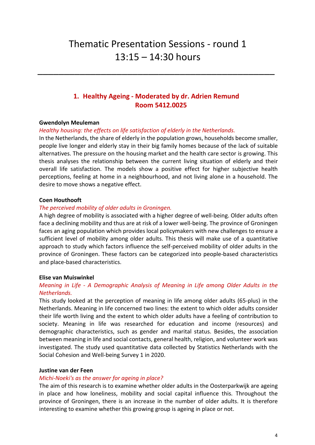## Thematic Presentation Sessions - round 1 13:15 – 14:30 hours

## **1. Healthy Ageing - Moderated by dr. Adrien Remund Room 5412.0025**

\_\_\_\_\_\_\_\_\_\_\_\_\_\_\_\_\_\_\_\_\_\_\_\_\_\_\_\_\_\_\_\_\_\_\_\_\_\_\_\_\_\_\_\_\_

#### **Gwendolyn Meuleman**

#### *Healthy housing: the effects on life satisfaction of elderly in the Netherlands.*

In the Netherlands, the share of elderly in the population grows, households become smaller, people live longer and elderly stay in their big family homes because of the lack of suitable alternatives. The pressure on the housing market and the health care sector is growing. This thesis analyses the relationship between the current living situation of elderly and their overall life satisfaction. The models show a positive effect for higher subjective health perceptions, feeling at home in a neighbourhood, and not living alone in a household. The desire to move shows a negative effect.

#### **Coen Houthooft**

#### *The perceived mobility of older adults in Groningen.*

A high degree of mobility is associated with a higher degree of well-being. Older adults often face a declining mobility and thus are at risk of a lower well-being. The province of Groningen faces an aging population which provides local policymakers with new challenges to ensure a sufficient level of mobility among older adults. This thesis will make use of a quantitative approach to study which factors influence the self-perceived mobility of older adults in the province of Groningen. These factors can be categorized into people-based characteristics and place-based characteristics.

#### **Elise van Muiswinkel**

#### *Meaning in Life - A Demographic Analysis of Meaning in Life among Older Adults in the Netherlands.*

This study looked at the perception of meaning in life among older adults (65-plus) in the Netherlands. Meaning in life concerned two lines: the extent to which older adults consider their life worth living and the extent to which older adults have a feeling of contribution to society. Meaning in life was researched for education and income (resources) and demographic characteristics, such as gender and marital status. Besides, the association between meaning in life and social contacts, general health, religion, and volunteer work was investigated. The study used quantitative data collected by Statistics Netherlands with the Social Cohesion and Well-being Survey 1 in 2020.

#### **Justine van der Feen**

#### *Michi-Noeki's as the answer for ageing in place?*

The aim of this research is to examine whether older adults in the Oosterparkwijk are ageing in place and how loneliness, mobility and social capital influence this. Throughout the province of Groningen, there is an increase in the number of older adults. It is therefore interesting to examine whether this growing group is ageing in place or not.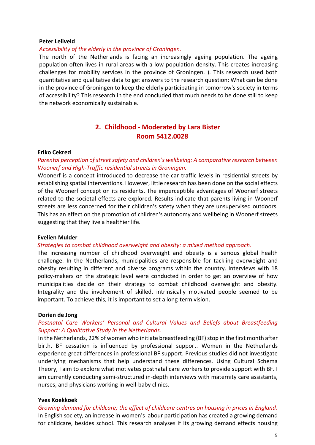#### **Peter Leliveld**

#### *Accessibility of the elderly in the province of Groningen.*

The north of the Netherlands is facing an increasingly ageing population. The ageing population often lives in rural areas with a low population density. This creates increasing challenges for mobility services in the province of Groningen. ). This research used both quantitative and qualitative data to get answers to the research question: What can be done in the province of Groningen to keep the elderly participating in tomorrow's society in terms of accessibility? This research in the end concluded that much needs to be done still to keep the network economically sustainable.

## **2. Childhood - Moderated by Lara Bister Room 5412.0028**

#### **Eriko Cekrezi**

## *Parental perception of street safety and children's wellbeing: A comparative research between Woonerf and High-Traffic residential streets in Groningen.*

Woonerf is a concept introduced to decrease the car traffic levels in residential streets by establishing spatial interventions. However, little research has been done on the social effects of the Woonerf concept on its residents. The imperceptible advantages of Woonerf streets related to the societal effects are explored. Results indicate that parents living in Woonerf streets are less concerned for their children's safety when they are unsupervised outdoors. This has an effect on the promotion of children's autonomy and wellbeing in Woonerf streets suggesting that they live a healthier life.

#### **Evelien Mulder**

#### *Strategies to combat childhood overweight and obesity: a mixed method approach.*

The increasing number of childhood overweight and obesity is a serious global health challenge. In the Netherlands, municipalities are responsible for tackling overweight and obesity resulting in different and diverse programs within the country. Interviews with 18 policy-makers on the strategic level were conducted in order to get an overview of how municipalities decide on their strategy to combat childhood overweight and obesity. Integrality and the involvement of skilled, intrinsically motivated people seemed to be important. To achieve this, it is important to set a long-term vision.

#### **Dorien de Jong**

#### *Postnatal Care Workers' Personal and Cultural Values and Beliefs about Breastfeeding Support: A Qualitative Study in the Netherlands.*

In the Netherlands, 22% of women who initiate breastfeeding (BF) stop in the first month after birth. BF cessation is influenced by professional support. Women in the Netherlands experience great differences in professional BF support. Previous studies did not investigate underlying mechanisms that help understand these differences. Using Cultural Schema Theory, I aim to explore what motivates postnatal care workers to provide support with BF. I am currently conducting semi-structured in-depth interviews with maternity care assistants, nurses, and physicians working in well-baby clinics.

#### **Yves Koekkoek**

*Growing demand for childcare; the effect of childcare centres on housing in prices in England.* In English society, an increase in women's labour participation has created a growing demand for childcare, besides school. This research analyses if its growing demand effects housing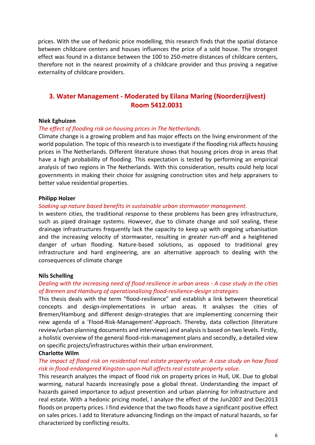prices. With the use of hedonic price modelling, this research finds that the spatial distance between childcare centers and houses influences the price of a sold house. The strongest effect was found in a distance between the 100 to 250-metre distances of childcare centers, therefore not in the nearest proximity of a childcare provider and thus proving a negative externality of childcare providers.

## **3. Water Management - Moderated by Eilana Maring (Noorderzijlvest) Room 5412.0031**

#### **Niek Eghuizen**

#### *The effect of flooding risk on housing prices in The Netherlands.*

Climate change is a growing problem and has major effects on the living environment of the world population. The topic of this research is to investigate if the flooding risk affects housing prices in The Netherlands. Different literature shows that housing prices drop in areas that have a high probability of flooding. This expectation is tested by performing an empirical analysis of two regions in The Netherlands. With this consideration, results could help local governments in making their choice for assigning construction sites and help appraisers to better value residential properties.

#### **Philipp Holzer**

#### *Soaking up nature based benefits in sustainable urban stormwater management.*

In western cities, the traditional response to these problems has been grey infrastructure, such as piped drainage systems. However, due to climate change and soil sealing, these drainage infrastructures frequently lack the capacity to keep up with ongoing urbanisation and the increasing velocity of stormwater, resulting in greater run-off and a heightened danger of urban flooding. Nature-based solutions, as opposed to traditional grey infrastructure and hard engineering, are an alternative approach to dealing with the consequences of climate change

#### **Nils Schelling**

#### *Dealing with the increasing need of flood resilience in urban areas - A case study in the cities of Bremen and Hamburg of operationalising flood-resilience-design strategies.*

This thesis deals with the term "flood-resilience" and establish a link between theoretical concepts and design-implementations in urban areas. It analyses the cities of Bremen/Hamburg and different design-strategies that are implementing concerning their new agenda of a 'Flood-Risk-Management'-Approach. Thereby, data collection (literature review/urban planning documents and interviews) and analysis is based on two levels. Firstly, a holistic overview of the general flood-risk-management plans and secondly, a detailed view on specific projects/infrastructures within their urban environment.

#### **Charlotte Wilm**

#### *The impact of flood risk on residential real estate property value: A case study on how flood risk in flood-endangered Kingston-upon-Hull affects real estate property value.*

This research analyzes the impact of flood risk on property prices in Hull, UK. Due to global warming, natural hazards increasingly pose a global threat. Understanding the impact of hazards gained importance to adjust prevention and urban planning for infrastructure and real estate. With a hedonic pricing model, I analyze the effect of the Jun2007 and Dec2013 floods on property prices. I find evidence that the two floods have a significant positive effect on sales prices. I add to literature advancing findings on the impact of natural hazards, so far characterized by conflicting results.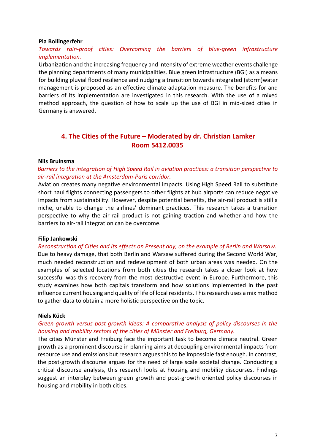#### **Pia Bollingerfehr**

## *Towards rain-proof cities: Overcoming the barriers of blue-green infrastructure implementation.*

Urbanization and the increasing frequency and intensity of extreme weather events challenge the planning departments of many municipalities. Blue green infrastructure (BGI) as a means for building pluvial flood resilience and nudging a transition towards integrated (storm)water management is proposed as an effective climate adaptation measure. The benefits for and barriers of its implementation are investigated in this research. With the use of a mixed method approach, the question of how to scale up the use of BGI in mid-sized cities in Germany is answered.

## **4. The Cities of the Future – Moderated by dr. Christian Lamker Room 5412.0035**

#### **Nils Bruinsma**

*Barriers to the integration of High Speed Rail in aviation practices: a transition perspective to air-rail integration at the Amsterdam-Paris corridor.*

Aviation creates many negative environmental impacts. Using High Speed Rail to substitute short haul flights connecting passengers to other flights at hub airports can reduce negative impacts from sustainability. However, despite potential benefits, the air-rail product is still a niche, unable to change the airlines' dominant practices. This research takes a transition perspective to why the air-rail product is not gaining traction and whether and how the barriers to air-rail integration can be overcome.

#### **Filip Jankowski**

*Reconstruction of Cities and its effects on Present day, on the example of Berlin and Warsaw.* Due to heavy damage, that both Berlin and Warsaw suffered during the Second World War, much needed reconstruction and redevelopment of both urban areas was needed. On the examples of selected locations from both cities the research takes a closer look at how successful was this recovery from the most destructive event in Europe. Furthermore, this study examines how both capitals transform and how solutions implemented in the past influence current housing and quality of life of local residents. This research uses a mix method to gather data to obtain a more holistic perspective on the topic.

#### **Niels Kück**

#### *Green growth versus post-growth ideas: A comparative analysis of policy discourses in the housing and mobility sectors of the cities of Münster and Freiburg, Germany.*

The cities Münster and Freiburg face the important task to become climate neutral. Green growth as a prominent discourse in planning aims at decoupling environmental impacts from resource use and emissions but research argues this to be impossible fast enough. In contrast, the post-growth discourse argues for the need of large scale societal change. Conducting a critical discourse analysis, this research looks at housing and mobility discourses. Findings suggest an interplay between green growth and post-growth oriented policy discourses in housing and mobility in both cities.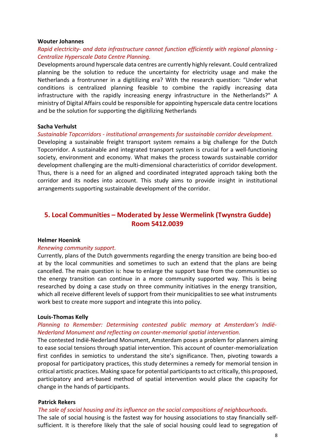#### **Wouter Johannes**

## *Rapid electricity- and data infrastructure cannot function efficiently with regional planning - Centralize Hyperscale Data Centre Planning.*

Developments around hyperscale data centres are currently highly relevant. Could centralized planning be the solution to reduce the uncertainty for electricity usage and make the Netherlands a frontrunner in a digitilizing era? With the research question: "Under what conditions is centralized planning feasible to combine the rapidly increasing data infrastructure with the rapidly increasing energy infrastructure in the Netherlands?" A ministry of Digital Affairs could be responsible for appointing hyperscale data centre locations and be the solution for supporting the digitilizing Netherlands

#### **Sacha Verhulst**

#### *Sustainable Topcorridors - institutional arrangements for sustainable corridor development.*

Developing a sustainable freight transport system remains a big challenge for the Dutch Topcorridor. A sustainable and integrated transport system is crucial for a well-functioning society, environment and economy. What makes the process towards sustainable corridor development challenging are the multi-dimensional characteristics of corridor development. Thus, there is a need for an aligned and coordinated integrated approach taking both the corridor and its nodes into account. This study aims to provide insight in institutional arrangements supporting sustainable development of the corridor.

## **5. Local Communities – Moderated by Jesse Wermelink (Twynstra Gudde) Room 5412.0039**

#### **Helmer Hoenink**

#### *Renewing community support.*

Currently, plans of the Dutch governments regarding the energy transition are being boo-ed at by the local communities and sometimes to such an extend that the plans are being cancelled. The main question is: how to enlarge the support base from the communities so the energy transition can continue in a more community supported way. This is being researched by doing a case study on three community initiatives in the energy transition, which all receive different levels of support from their municipalities to see what instruments work best to create more support and integrate this into policy.

#### **Louis-Thomas Kelly**

#### *Planning to Remember: Determining contested public memory at Amsterdam's Indië-Nederland Monument and reflecting on counter-memorial spatial intervention.*

The contested Indië-Nederland Monument, Amsterdam poses a problem for planners aiming to ease social tensions through spatial intervention. This account of counter-memorialization first confides in semiotics to understand the site's significance. Then, pivoting towards a proposal for participatory practices, this study determines a remedy for memorial tension in critical artistic practices. Making space for potential participants to act critically, this proposed, participatory and art-based method of spatial intervention would place the capacity for change in the hands of participants.

#### **Patrick Rekers**

#### *The sale of social housing and its influence on the social compositions of neighbourhoods.*

The sale of social housing is the fastest way for housing associations to stay financially selfsufficient. It is therefore likely that the sale of social housing could lead to segregation of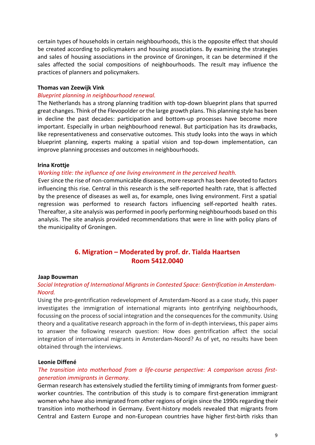certain types of households in certain neighbourhoods, this is the opposite effect that should be created according to policymakers and housing associations. By examining the strategies and sales of housing associations in the province of Groningen, it can be determined if the sales affected the social compositions of neighbourhoods. The result may influence the practices of planners and policymakers.

#### **Thomas van Zeewijk Vink**

#### *Blueprint planning in neighbourhood renewal.*

The Netherlands has a strong planning tradition with top-down blueprint plans that spurred great changes. Think of the Flevopolder or the large growth plans. This planning style has been in decline the past decades: participation and bottom-up processes have become more important. Especially in urban neighbourhood renewal. But participation has its drawbacks, like representativeness and conservative outcomes. This study looks into the ways in which blueprint planning, experts making a spatial vision and top-down implementation, can improve planning processes and outcomes in neighbourhoods.

#### **Irina Krottje**

#### *Working title: the influence of one living environment in the perceived health.*

Ever since the rise of non-communicable diseases, more research has been devoted to factors influencing this rise. Central in this research is the self-reported health rate, that is affected by the presence of diseases as well as, for example, ones living environment. First a spatial regression was performed to research factors influencing self-reported health rates. Thereafter, a site analysis was performed in poorly performing neighbourhoods based on this analysis. The site analysis provided recommendations that were in line with policy plans of the municipality of Groningen.

## **6. Migration – Moderated by prof. dr. Tialda Haartsen Room 5412.0040**

#### **Jaap Bouwman**

#### *Social Integration of International Migrants in Contested Space: Gentrification in Amsterdam-Noord.*

Using the pro-gentrification redevelopment of Amsterdam-Noord as a case study, this paper investigates the immigration of international migrants into gentrifying neighbourhoods, focussing on the process of social integration and the consequences for the community. Using theory and a qualitative research approach in the form of in-depth interviews, this paper aims to answer the following research question: How does gentrification affect the social integration of international migrants in Amsterdam-Noord? As of yet, no results have been obtained through the interviews.

#### **Leonie Diffené**

#### *The transition into motherhood from a life-course perspective: A comparison across firstgeneration immigrants in Germany.*

German research has extensively studied the fertility timing of immigrants from former guestworker countries. The contribution of this study is to compare first-generation immigrant women who have also immigrated from other regions of origin since the 1990s regarding their transition into motherhood in Germany. Event-history models revealed that migrants from Central and Eastern Europe and non-European countries have higher first-birth risks than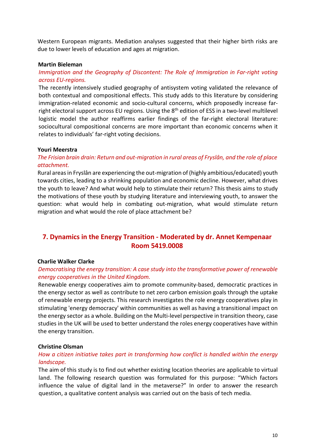Western European migrants. Mediation analyses suggested that their higher birth risks are due to lower levels of education and ages at migration.

#### **Martin Bieleman**

## *Immigration and the Geography of Discontent: The Role of Immigration in Far-right voting across EU-regions.*

The recently intensively studied geography of antisystem voting validated the relevance of both contextual and compositional effects. This study adds to this literature by considering immigration-related economic and socio-cultural concerns, which proposedly increase farright electoral support across EU regions. Using the 8<sup>th</sup> edition of ESS in a two-level multilevel logistic model the author reaffirms earlier findings of the far-right electoral literature: sociocultural compositional concerns are more important than economic concerns when it relates to individuals' far-right voting decisions.

#### **Youri Meerstra**

## *The Frisian brain drain: Return and out-migration in rural areas of Fryslân, and the role of place attachment.*

Rural areas in Fryslân are experiencing the out-migration of (highly ambitious/educated) youth towards cities, leading to a shrinking population and economic decline. However, what drives the youth to leave? And what would help to stimulate their return? This thesis aims to study the motivations of these youth by studying literature and interviewing youth, to answer the question: what would help in combating out-migration, what would stimulate return migration and what would the role of place attachment be?

## **7. Dynamics in the Energy Transition - Moderated by dr. Annet Kempenaar Room 5419.0008**

#### **Charlie Walker Clarke**

#### *Democratising the energy transition: A case study into the transformative power of renewable energy cooperatives in the United Kingdom.*

Renewable energy cooperatives aim to promote community-based, democratic practices in the energy sector as well as contribute to net zero carbon emission goals through the uptake of renewable energy projects. This research investigates the role energy cooperatives play in stimulating 'energy democracy' within communities as well as having a transitional impact on the energy sector as a whole. Building on the Multi-level perspective in transition theory, case studies in the UK will be used to better understand the roles energy cooperatives have within the energy transition.

#### **Christine Olsman**

#### *How a citizen initiative takes part in transforming how conflict is handled within the energy landscape.*

The aim of this study is to find out whether existing location theories are applicable to virtual land. The following research question was formulated for this purpose: "Which factors influence the value of digital land in the metaverse?" In order to answer the research question, a qualitative content analysis was carried out on the basis of tech media.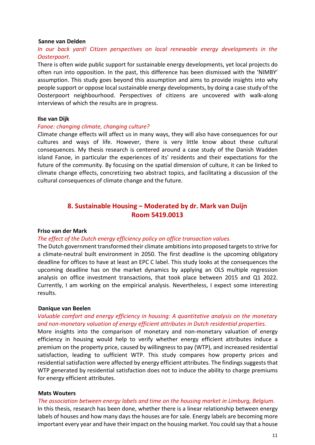#### **Sanne van Delden**

## *In our back yard! Citizen perspectives on local renewable energy developments in the Oosterpoort.*

There is often wide public support for sustainable energy developments, yet local projects do often run into opposition. In the past, this difference has been dismissed with the 'NIMBY' assumption. This study goes beyond this assumption and aims to provide insights into why people support or oppose local sustainable energy developments, by doing a case study of the Oosterpoort neighbourhood. Perspectives of citizens are uncovered with walk-along interviews of which the results are in progress.

#### **Ilse van Dijk**

#### *Fanoe: changing climate, changing culture?*

Climate change effects will affect us in many ways, they will also have consequences for our cultures and ways of life. However, there is very little know about these cultural consequences. My thesis research is centered around a case study of the Danish Wadden island Fanoe, in particular the experiences of its' residents and their expectations for the future of the community. By focusing on the spatial dimension of culture, it can be linked to climate change effects, concretizing two abstract topics, and facilitating a discussion of the cultural consequences of climate change and the future.

## **8. Sustainable Housing – Moderated by dr. Mark van Duijn Room 5419.0013**

#### **Friso van der Mark**

#### *The effect of the Dutch energy efficiency policy on office transaction values.*

The Dutch government transformed their climate ambitions into proposed targets to strive for a climate-neutral built environment in 2050. The first deadline is the upcoming obligatory deadline for offices to have at least an EPC C label. This study looks at the consequences the upcoming deadline has on the market dynamics by applying an OLS multiple regression analysis on office investment transactions, that took place between 2015 and Q1 2022. Currently, I am working on the empirical analysis. Nevertheless, I expect some interesting results.

#### **Danique van Beelen**

## *Valuable comfort and energy efficiency in housing: A quantitative analysis on the monetary and non-monetary valuation of energy efficient attributes in Dutch residential properties.*

More insights into the comparison of monetary and non-monetary valuation of energy efficiency in housing would help to verify whether energy efficient attributes induce a premium on the property price, caused by willingness to pay (WTP), and increased residential satisfaction, leading to sufficient WTP. This study compares how property prices and residential satisfaction were affected by energy efficient attributes. The findings suggests that WTP generated by residential satisfaction does not to induce the ability to charge premiums for energy efficient attributes.

#### **Mats Wouters**

#### *The association between energy labels and time on the housing market in Limburg, Belgium.*

In this thesis, research has been done, whether there is a linear relationship between energy labels of houses and how many days the houses are for sale. Energy labels are becoming more important every year and have their impact on the housing market. You could say that a house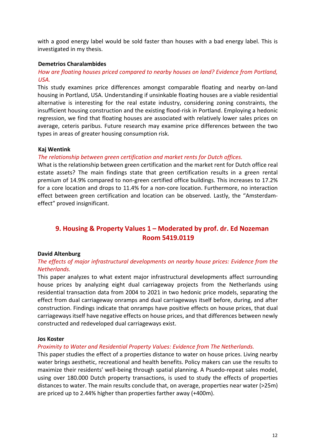with a good energy label would be sold faster than houses with a bad energy label. This is investigated in my thesis.

## **Demetrios Charalambides**

## *How are floating houses priced compared to nearby houses on land? Evidence from Portland, USA.*

This study examines price differences amongst comparable floating and nearby on-land housing in Portland, USA. Understanding if unsinkable floating houses are a viable residential alternative is interesting for the real estate industry, considering zoning constraints, the insufficient housing construction and the existing flood-risk in Portland. Employing a hedonic regression, we find that floating houses are associated with relatively lower sales prices on average, ceteris paribus. Future research may examine price differences between the two types in areas of greater housing consumption risk.

#### **Kaj Wentink**

## *The relationship between green certification and market rents for Dutch offices.*

What is the relationship between green certification and the market rent for Dutch office real estate assets? The main findings state that green certification results in a green rental premium of 14.9% compared to non-green certified office buildings. This increases to 17.2% for a core location and drops to 11.4% for a non-core location. Furthermore, no interaction effect between green certification and location can be observed. Lastly, the "Amsterdameffect" proved insignificant.

## **9. Housing & Property Values 1 – Moderated by prof. dr. Ed Nozeman Room 5419.0119**

## **David Altenburg**

## *The effects of major infrastructural developments on nearby house prices: Evidence from the Netherlands.*

This paper analyzes to what extent major infrastructural developments affect surrounding house prices by analyzing eight dual carriageway projects from the Netherlands using residential transaction data from 2004 to 2021 in two hedonic price models, separating the effect from dual carriageway onramps and dual carriageways itself before, during, and after construction. Findings indicate that onramps have positive effects on house prices, that dual carriageways itself have negative effects on house prices, and that differences between newly constructed and redeveloped dual carriageways exist.

#### **Jos Koster**

#### *Proximity to Water and Residential Property Values: Evidence from The Netherlands.*

This paper studies the effect of a properties distance to water on house prices. Living nearby water brings aesthetic, recreational and health benefits. Policy makers can use the results to maximize their residents' well-being through spatial planning. A Psuedo-repeat sales model, using over 180.000 Dutch property transactions, is used to study the effects of properties distances to water. The main results conclude that, on average, properties near water (>25m) are priced up to 2.44% higher than properties farther away (+400m).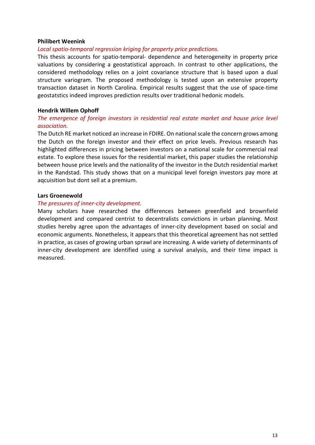#### **Philibert Weenink**

#### *Local spatio-temporal regression kriging for property price predictions.*

This thesis accounts for spatio-temporal- dependence and heterogeneity in property price valuations by considering a geostatistical approach. In contrast to other applications, the considered methodology relies on a joint covariance structure that is based upon a dual structure variogram. The proposed methodology is tested upon an extensive property transaction dataset in North Carolina. Empirical results suggest that the use of space-time geostatstics indeed improves prediction results over traditional hedonic models.

#### **Hendrik Willem Ophoff**

#### *The emergence of foreign investors in residential real estate market and house price level association.*

The Dutch RE market noticed an increase in FDIRE. On national scale the concern grows among the Dutch on the foreign investor and their effect on price levels. Previous research has highlighted differences in pricing between investors on a national scale for commercial real estate. To explore these issues for the residential market, this paper studies the relationship between house price levels and the nationality of the investor in the Dutch residential market in the Randstad. This study shows that on a municipal level foreign investors pay more at aqcuisition but dont sell at a premium.

#### **Lars Groenewold**

#### *The pressures of inner-city development.*

Many scholars have researched the differences between greenfield and brownfield development and compared centrist to decentralists convictions in urban planning. Most studies hereby agree upon the advantages of inner-city development based on social and economic arguments. Nonetheless, it appears that this theoretical agreement has not settled in practice, as cases of growing urban sprawl are increasing. A wide variety of determinants of inner-city development are identified using a survival analysis, and their time impact is measured.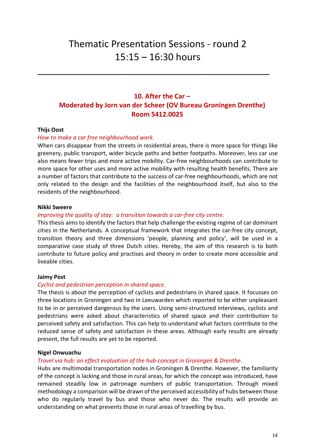## Thematic Presentation Sessions - round 2 15:15 – 16:30 hours

\_\_\_\_\_\_\_\_\_\_\_\_\_\_\_\_\_\_\_\_\_\_\_\_\_\_\_\_\_\_\_\_\_\_\_\_\_\_\_\_\_\_\_\_

## **10. After the Car – Moderated by Jorn van der Scheer (OV Bureau Groningen Drenthe) Room 5412.0025**

#### **Thijs Oost**

#### *How to make a car free neighbourhood work.*

When cars disappear from the streets in residential areas, there is more space for things like greenery, public transport, wider bicycle paths and better footpaths. Moreover, less car use also means fewer trips and more active mobility. Car-free neighbourhoods can contribute to more space for other uses and more active mobility with resulting health benefits. There are a number of factors that contribute to the success of car-free neighbourhoods, which are not only related to the design and the facilities of the neighbourhood itself, but also to the residents of the neighbourhood.

#### **Nikki Sweere**

#### *Improving the quality of stay: a transition towards a car-free city centre.*

This thesis aims to identify the factors that help challenge the existing regime of car dominant cities in the Netherlands. A conceptual framework that integrates the car-free city concept, transition theory and three dimensions 'people, planning and policy', will be used in a comparative case study of three Dutch cities. Hereby, the aim of this research is to both contribute to future policy and practises and theory in order to create more accessible and liveable cities.

#### **Jaimy Post**

#### *Cyclist and pedestrian perception in shared space.*

The thesis is about the perception of cyclists and pedestrians in shared space. It focusses on three locations in Groningen and two in Leeuwarden which reported to be either unpleasant to be in or perceived dangerous by the users. Using semi-structured interviews, cyclists and pedestrians were asked about characteristics of shared space and their contribution to perceived safety and satisfaction. This can help to understand what factors contribute to the reduced sense of safety and satisfaction in these areas. Although early results are already present, the full results are yet to be reported.

#### **Nigel Onwuachu**

#### *Travel via hub: an effect evaluation of the hub-concept in Groningen & Drenthe.*

Hubs are multimodal transportation nodes in Groningen & Drenthe. However, the familiarity of the concept is lacking and those in rural areas, for which the concept was introduced, have remained steadily low in patronage numbers of public transportation. Through mixed methodology a comparison will be drawn of the perceived accessibility of hubs between those who do regularly travel by bus and those who never do. The results will provide an understanding on what prevents those in rural areas of travelling by bus.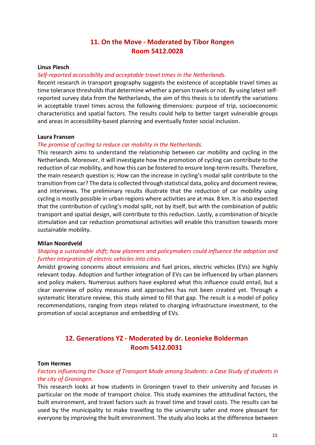## **11. On the Move - Moderated by Tibor Rongen Room 5412.0028**

#### **Linus Piesch**

#### *Self-reported accessibility and acceptable travel times in the Netherlands.*

Recent research in transport geography suggests the existence of acceptable travel times as time tolerance thresholds that determine whether a person travels or not. By using latest selfreported survey data from the Netherlands, the aim of this thesis is to identify the variations in acceptable travel times across the following dimensions: purpose of trip, socioeconomic characteristics and spatial factors. The results could help to better target vulnerable groups and areas in accessibility-based planning and eventually foster social inclusion.

#### **Laura Fransen**

#### *The promise of cycling to reduce car mobility in the Netherlands.*

This research aims to understand the relationship between car mobility and cycling in the Netherlands. Moreover, it will investigate how the promotion of cycling can contribute to the reduction of car mobility, and how this can be fostered to ensure long-term results. Therefore, the main research question is: How can the increase in cycling's modal split contribute to the transition from car? The data is collected through statistical data, policy and document review, and interviews. The preliminary results illustrate that the reduction of car mobility using cycling is mostly possible in urban regions where activities are at max. 8 km. It is also expected that the contribution of cycling's modal split, not by itself, but with the combination of public transport and spatial design, will contribute to this reduction. Lastly, a combination of bicycle stimulation and car reduction promotional activities will enable this transition towards more sustainable mobility.

#### **Milan Noordveld**

#### *Shaping a sustainable shift; how planners and policymakers could influence the adoption and further integration of electric vehicles into cities.*

Amidst growing concerns about emissions and fuel prices, electric vehicles (EVs) are highly relevant today. Adoption and further integration of EVs can be influenced by urban planners and policy makers. Numerous authors have explored what this influence could entail, but a clear overview of policy measures and approaches has not been created yet. Through a systematic literature review, this study aimed to fill that gap. The result is a model of policy recommendations, ranging from steps related to charging infrastructure investment, to the promotion of social acceptance and embedding of EVs.

## **12. Generations YZ - Moderated by dr. Leonieke Bolderman Room 5412.0031**

#### **Tom Hermes**

#### *Factors influencing the Choice of Transport Mode among Students: a Case Study of students in the city of Groningen.*

This research looks at how students in Groningen travel to their university and focuses in particular on the mode of transport choice. This study examines the attitudinal factors, the built environment, and travel factors such as travel time and travel costs. The results can be used by the municipality to make travelling to the university safer and more pleasant for everyone by improving the built environment. The study also looks at the difference between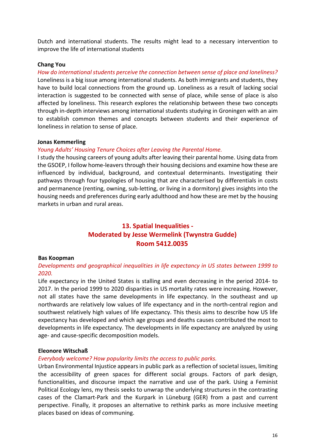Dutch and international students. The results might lead to a necessary intervention to improve the life of international students

#### **Chang You**

*How do international students perceive the connection between sense of place and loneliness?* Loneliness is a big issue among international students. As both immigrants and students, they have to build local connections from the ground up. Loneliness as a result of lacking social interaction is suggested to be connected with sense of place, while sense of place is also affected by loneliness. This research explores the relationship between these two concepts through in-depth interviews among international students studying in Groningen with an aim to establish common themes and concepts between students and their experience of loneliness in relation to sense of place.

#### **Jonas Kemmerling**

#### *Young Adults' Housing Tenure Choices after Leaving the Parental Home.*

I study the housing careers of young adults after leaving their parental home. Using data from the GSOEP, I follow home-leavers through their housing decisions and examine how these are influenced by individual, background, and contextual determinants. Investigating their pathways through four typologies of housing that are characterised by differentials in costs and permanence (renting, owning, sub-letting, or living in a dormitory) gives insights into the housing needs and preferences during early adulthood and how these are met by the housing markets in urban and rural areas.

## **13. Spatial Inequalities - Moderated by Jesse Wermelink (Twynstra Gudde) Room 5412.0035**

#### **Bas Koopman**

#### *Developments and geographical inequalities in life expectancy in US states between 1999 to 2020.*

Life expectancy in the United States is stalling and even decreasing in the period 2014- to 2017. In the period 1999 to 2020 disparities in US mortality rates were increasing. However, not all states have the same developments in life expectancy. In the southeast and up northwards are relatively low values of life expectancy and in the north-central region and southwest relatively high values of life expectancy. This thesis aims to describe how US life expectancy has developed and which age groups and deaths causes contributed the most to developments in life expectancy. The developments in life expectancy are analyzed by using age- and cause-specific decomposition models.

#### **Eleonore Witschaß**

#### *Everybody welcome? How popularity limits the access to public parks.*

Urban Environmental Injustice appears in public park as a reflection of societal issues, limiting the accessibility of green spaces for different social groups. Factors of park design, functionalities, and discourse impact the narrative and use of the park. Using a Feminist Political Ecology lens, my thesis seeks to unwrap the underlying structures in the contrasting cases of the Clamart-Park and the Kurpark in Lüneburg (GER) from a past and current perspective. Finally, it proposes an alternative to rethink parks as more inclusive meeting places based on ideas of communing.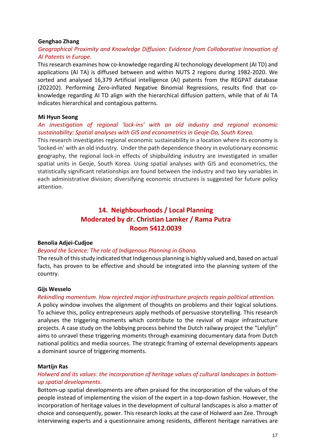#### **Genghao Zhang**

## *Geographical Proximity and Knowledge Diffusion: Evidence from Collaborative Innovation of AI Patents in Europe.*

This research examines how co-knowledge regarding AI techonology development (AI TD) and applications (AI TA) is diffused between and within NUTS 2 regions during 1982-2020. We sorted and analysed 16,379 Artificial intelligence (AI) patents from the REGPAT database (202202). Performing Zero-inflated Negative Binomial Regressions, results find that coknowledge regarding AI TD align with the hierarchical diffusion pattern, while that of AI TA indicates hierarchical and contagious patterns.

#### **Mi Hyun Seong**

## *An investigation of regional 'lock-ins' with an old industry and regional economic sustainability: Spatial analyses with GIS and econometrics in Geoje-Do, South Korea.*

This research investigates regional economic sustainability in a location where its economy is 'locked-in' with an old industry. Under the path dependence theory in evolutionary economic geography, the regional lock-in effects of shipbuilding industry are investigated in smaller spatial units in Geoje, South Korea. Using spatial analyses with GIS and econometrics, the statistically significant relationships are found between the industry and two key variables in each administrative division; diversifying economic structures is suggested for future policy attention.

## **14. Neighbourhoods / Local Planning Moderated by dr. Christian Lamker / Rama Putra Room 5412.0039**

#### **Benolia Adjei-Cudjoe**

#### *Beyond the Science: The role of Indigenous Planning in Ghana.*

The result of this study indicated that Indigenous planning is highly valued and, based on actual facts, has proven to be effective and should be integrated into the planning system of the country.

#### **Gijs Wesselo**

#### *Rekindling momentum. How rejected major infrastructure projects regain political attention.*

A policy window involves the alignment of thoughts on problems and their logical solutions. To achieve this, policy entrepreneurs apply methods of persuasive storytelling. This research analyses the triggering moments which contribute to the revival of major infrastructure projects. A case study on the lobbying process behind the Dutch railway project the "Lelylijn" aims to unravel these triggering moments through examining documentary data from Dutch national politics and media sources. The strategic framing of external developments appears a dominant source of triggering moments.

#### **Martijn Ras**

#### *Holwerd and its values: the incorporation of heritage values of cultural landscapes in bottomup spatial developments.*

Bottom-up spatial developments are often praised for the incorporation of the values of the people instead of implementing the vision of the expert in a top-down fashion. However, the incorporation of heritage values in the development of cultural landscapes is also a matter of choice and consequently, power. This research looks at the case of Holwerd aan Zee. Through interviewing experts and a questionnaire among residents, different heritage narratives are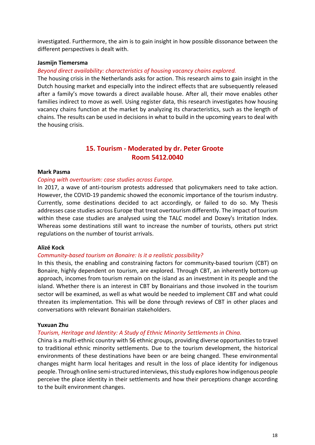investigated. Furthermore, the aim is to gain insight in how possible dissonance between the different perspectives is dealt with.

#### **Jasmijn Tiemersma**

#### *Beyond direct availability: characteristics of housing vacancy chains explored.*

The housing crisis in the Netherlands asks for action. This research aims to gain insight in the Dutch housing market and especially into the indirect effects that are subsequently released after a family's move towards a direct available house. After all, their move enables other families indirect to move as well. Using register data, this research investigates how housing vacancy chains function at the market by analyzing its characteristics, such as the length of chains. The results can be used in decisions in what to build in the upcoming years to deal with the housing crisis.

## **15. Tourism - Moderated by dr. Peter Groote Room 5412.0040**

#### **Mark Pasma**

#### *Coping with overtourism: case studies across Europe.*

In 2017, a wave of anti-tourism protests addressed that policymakers need to take action. However, the COVID-19 pandemic showed the economic importance of the tourism industry. Currently, some destinations decided to act accordingly, or failed to do so. My Thesis addresses case studies across Europe that treat overtourism differently. The impact of tourism within these case studies are analysed using the TALC model and Doxey's Irritation Index. Whereas some destinations still want to increase the number of tourists, others put strict regulations on the number of tourist arrivals.

#### **Alizé Kock**

#### *Community-based tourism on Bonaire: Is it a realistic possibility?*

In this thesis, the enabling and constraining factors for community-based tourism (CBT) on Bonaire, highly dependent on tourism, are explored. Through CBT, an inherently bottom-up approach, incomes from tourism remain on the island as an investment in its people and the island. Whether there is an interest in CBT by Bonairians and those involved in the tourism sector will be examined, as well as what would be needed to implement CBT and what could threaten its implementation. This will be done through reviews of CBT in other places and conversations with relevant Bonairian stakeholders.

#### **Yuxuan Zhu**

#### *Tourism, Heritage and Identity: A Study of Ethnic Minority Settlements in China.*

China is a multi-ethnic country with 56 ethnic groups, providing diverse opportunities to travel to traditional ethnic minority settlements. Due to the tourism development, the historical environments of these destinations have been or are being changed. These environmental changes might harm local heritages and result in the loss of place identity for indigenous people. Through online semi-structured interviews, this study explores how indigenous people perceive the place identity in their settlements and how their perceptions change according to the built environment changes.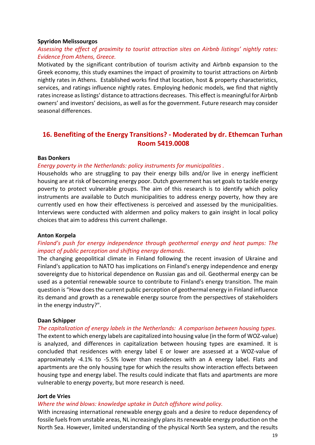#### **Spyridon Melissourgos**

## *Assessing the effect of proximity to tourist attraction sites on Airbnb listings' nightly rates: Evidence from Athens, Greece.*

Motivated by the significant contribution of tourism activity and Airbnb expansion to the Greek economy, this study examines the impact of proximity to tourist attractions on Airbnb nightly rates in Athens. Established works find that location, host & property characteristics, services, and ratings influence nightly rates. Employing hedonic models, we find that nightly rates increase as listings' distance to attractions decreases. This effect is meaningful for Airbnb owners' and investors' decisions, as well as for the government. Future research may consider seasonal differences.

## **16. Benefiting of the Energy Transitions? - Moderated by dr. Ethemcan Turhan Room 5419.0008**

#### **Bas Donkers**

#### *Energy poverty in the Netherlands: policy instruments for municipalities .*

Households who are struggling to pay their energy bills and/or live in energy inefficient housing are at risk of becoming energy poor. Dutch government has set goals to tackle energy poverty to protect vulnerable groups. The aim of this research is to identify which policy instruments are available to Dutch municipalities to address energy poverty, how they are currently used en how their effectiveness is perceived and assessed by the municipalities. Interviews were conducted with aldermen and policy makers to gain insight in local policy choices that aim to address this current challenge.

#### **Anton Korpela**

#### *Finland's push for energy independence through geothermal energy and heat pumps: The impact of public perception and shifting energy demands.*

The changing geopolitical climate in Finland following the recent invasion of Ukraine and Finland's application to NATO has implications on Finland's energy independence and energy sovereignty due to historical dependence on Russian gas and oil. Geothermal energy can be used as a potential renewable source to contribute to Finland's energy transition. The main question is "How does the current public perception of geothermal energy in Finland influence its demand and growth as a renewable energy source from the perspectives of stakeholders in the energy industry?".

#### **Daan Schipper**

#### *The capitalization of energy labels in the Netherlands: A comparison between housing types.*

The extent to which energy labels are capitalized into housing value (in the form of WOZ-value) is analyzed, and differences in capitalization between housing types are examined. It is concluded that residences with energy label E or lower are assessed at a WOZ-value of approximately -4.1% to -5.5% lower than residences with an A energy label. Flats and apartments are the only housing type for which the results show interaction effects between housing type and energy label. The results could indicate that flats and apartments are more vulnerable to energy poverty, but more research is need.

#### **Jort de Vries**

#### *Where the wind blows: knowledge uptake in Dutch offshore wind policy.*

With increasing international renewable energy goals and a desire to reduce dependency of fossile fuels from unstable areas, NL increasingly plans its renewable energy production on the North Sea. However, limited understanding of the physical North Sea system, and the results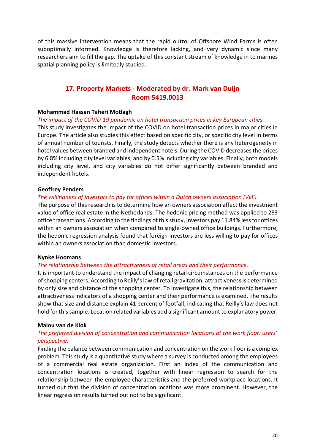of this massive intervention means that the rapid outrol of Offshore Wind Farms is often suboptimally informed. Knowledge is therefore lacking, and very dynamic since many researchers aim to fill the gap. The uptake of this constant stream of knowledge in to marines spatial planning policy is limitedly studied.

## **17. Property Markets - Moderated by dr. Mark van Duijn Room 5419.0013**

#### **Mohammad Hassan Taheri Motlagh**

#### *The impact of the COVID-19 pandemic on hotel transaction prices in key European cities.*

This study investigates the impact of the COVID on hotel transaction prices in major cities in Europe. The article also studies this effect based on specific city, or specific city level in terms of annual number of tourists. Finally, the study detects whether there is any heterogeneity in hotel values between branded and independent hotels. During the COVID decreases the prices by 6.8% including city level variables, and by 0.5% including city variables. Finally, both models including city level, and city variables do not differ significantly between branded and independent hotels.

#### **Geoffrey Penders**

#### *The willingness of investors to pay for offices within a Dutch owners association (VvE).*

The purpose of this research is to determine how an owners association affect the investment value of office real estate in the Netherlands. The hedonic pricing method was applied to 283 office transactions. According to the findings of this study, investors pay 11.84% less for offices within an owners association when compared to single-owned office buildings. Furthermore, the hedonic regression analysis found that foreign investors are less willing to pay for offices within an owners association than domestic investors.

#### **Nynke Hoomans**

#### *The relationship between the attractiveness of retail areas and their performance.*

It is important to understand the impact of changing retail circumstances on the performance of shopping centers. According to Reilly's law of retail gravitation, attractiveness is determined by only size and distance of the shopping center. To investigate this, the relationship between attractiveness indicators of a shopping center and their performance is examined. The results show that size and distance explain 41 percent of footfall, indicating that Reilly's law does not hold for this sample. Location related variables add a significant amount to explanatory power.

#### **Malou van de Klok**

#### *The preferred division of concentration and communication locations at the work floor: users' perspective.*

Finding the balance between communication and concentration on the work floor is a complex problem. This study is a quantitative study where a survey is conducted among the employees of a commercial real estate organization. First an index of the communication and concentration locations is created, together with linear regression to search for the relationship between the employee characteristics and the preferred workplace locations. It turned out that the division of concentration locations was more prominent. However, the linear regression results turned out not to be significant.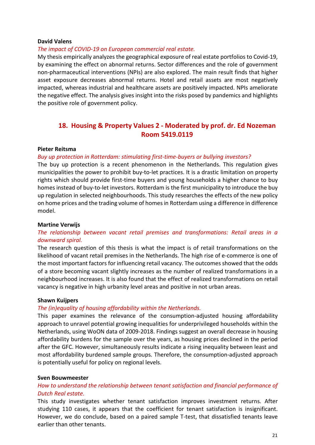#### **David Valens**

#### *The impact of COVID-19 on European commercial real estate.*

My thesis empirically analyzes the geographical exposure of real estate portfolios to Covid-19, by examining the effect on abnormal returns. Sector differences and the role of government non-pharmaceutical interventions (NPIs) are also explored. The main result finds that higher asset exposure decreases abnormal returns. Hotel and retail assets are most negatively impacted, whereas industrial and healthcare assets are positively impacted. NPIs ameliorate the negative effect. The analysis gives insight into the risks posed by pandemics and highlights the positive role of government policy.

## **18. Housing & Property Values 2 - Moderated by prof. dr. Ed Nozeman Room 5419.0119**

#### **Pieter Reitsma**

#### *Buy up protection in Rotterdam: stimulating first-time-buyers or bullying investors?*

The buy up protection is a recent phenomenon in the Netherlands. This regulation gives municipalities the power to prohibit buy-to-let practices. It is a drastic limitation on property rights which should provide first-time buyers and young households a higher chance to buy homes instead of buy-to-let investors. Rotterdam is the first municipality to introduce the buy up regulation in selected neighbourhoods. This study researches the effects of the new policy on home prices and the trading volume of homes in Rotterdam using a difference in difference model.

#### **Martine Verwijs**

## *The relationship between vacant retail premises and transformations: Retail areas in a downward spiral.*

The research question of this thesis is what the impact is of retail transformations on the likelihood of vacant retail premises in the Netherlands. The high rise of e-commerce is one of the most important factors for influencing retail vacancy. The outcomes showed that the odds of a store becoming vacant slightly increases as the number of realized transformations in a neighbourhood increases. It is also found that the effect of realized transformations on retail vacancy is negative in high urbanity level areas and positive in not urban areas.

#### **Shawn Kuijpers**

#### *The (in)equality of housing affordability within the Netherlands.*

This paper examines the relevance of the consumption-adjusted housing affordability approach to unravel potential growing inequalities for underprivileged households within the Netherlands, using WoON data of 2009-2018. Findings suggest an overall decrease in housing affordability burdens for the sample over the years, as housing prices declined in the period after the GFC. However, simultaneously results indicate a rising inequality between least and most affordability burdened sample groups. Therefore, the consumption-adjusted approach is potentially useful for policy on regional levels.

#### **Sven Bouwmeester**

## *How to understand the relationship between tenant satisfaction and financial performance of Dutch Real estate.*

This study investigates whether tenant satisfaction improves investment returns. After studying 110 cases, it appears that the coefficient for tenant satisfaction is insignificant. However, we do conclude, based on a paired sample T-test, that dissatisfied tenants leave earlier than other tenants.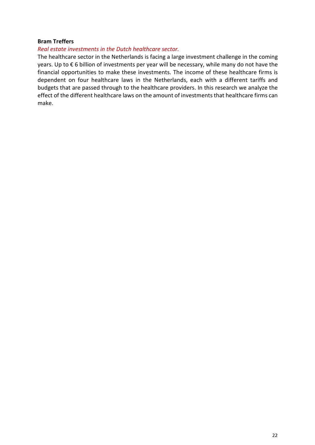#### **Bram Treffers**

#### *Real estate investments in the Dutch healthcare sector.*

The healthcare sector in the Netherlands is facing a large investment challenge in the coming years. Up to € 6 billion of investments per year will be necessary, while many do not have the financial opportunities to make these investments. The income of these healthcare firms is dependent on four healthcare laws in the Netherlands, each with a different tariffs and budgets that are passed through to the healthcare providers. In this research we analyze the effect of the different healthcare laws on the amount of investments that healthcare firms can make.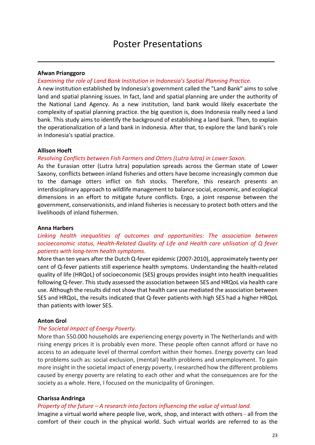\_\_\_\_\_\_\_\_\_\_\_\_\_\_\_\_\_\_\_\_\_\_\_\_\_\_\_\_\_\_\_\_\_\_\_\_\_\_\_\_\_\_\_\_\_

#### **Afwan Prianggoro**

#### *Examining the role of Land Bank Institution in Indonesia's Spatial Planning Practice.*

A new institution established by Indonesia's government called the "Land Bank" aims to solve land and spatial planning issues. In fact, land and spatial planning are under the authority of the National Land Agency. As a new institution, land bank would likely exacerbate the complexity of spatial planning practice. the big question is, does Indonesia really need a land bank. This study aims to identify the background of establishing a land bank. Then, to explain the operationalization of a land bank in Indonesia. After that, to explore the land bank's role in Indonesia's spatial practice.

#### **Allison Hoeft**

#### *Resolving Conflicts between Fish Farmers and Otters (Lutra lutra) in Lower Saxon.*

As the Eurasian otter (Lutra lutra) population spreads across the German state of Lower Saxony, conflicts between inland fisheries and otters have become increasingly common due to the damage otters inflict on fish stocks. Therefore, this research presents an interdisciplinary approach to wildlife management to balance social, economic, and ecological dimensions in an effort to mitigate future conflicts. Ergo, a joint response between the government, conservationists, and inland fisheries is necessary to protect both otters and the livelihoods of inland fishermen.

#### **Anna Harbers**

## *Linking health inequalities of outcomes and opportunities: The association between socioeconomic status, Health-Related Quality of Life and Health care utilisation of Q fever patients with long-term health symptoms.*

More than ten years after the Dutch Q-fever epidemic (2007-2010), approximately twenty per cent of Q-fever patients still experience health symptoms. Understanding the health-related quality of life (HRQoL) of socioeconomic (SES) groups provides insight into health inequalities following Q-fever. This study assessed the association between SES and HRQoL via health care use. Although the results did not show that health care use mediated the association between SES and HRQoL, the results indicated that Q-fever patients with high SES had a higher HRQoL than patients with lower SES.

#### **Anton Grol**

#### *The Societal Impact of Energy Poverty.*

More than 550.000 households are experiencing energy poverty in The Netherlands and with rising energy prices it is probably even more. These people often cannot afford or have no access to an adequate level of thermal comfort within their homes. Energy poverty can lead to problems such as: social exclusion, (mental) health problems and unemployment. To gain more insight in the societal impact of energy poverty, I researched how the different problems caused by energy poverty are relating to each other and what the consequences are for the society as a whole. Here, I focused on the municipality of Groningen.

#### **Charissa Andringa**

#### *Property of the future – A research into factors influencing the value of virtual land.*

Imagine a virtual world where people live, work, shop, and interact with others - all from the comfort of their couch in the physical world. Such virtual worlds are referred to as the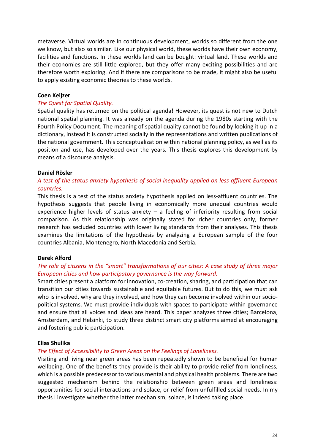metaverse. Virtual worlds are in continuous development, worlds so different from the one we know, but also so similar. Like our physical world, these worlds have their own economy, facilities and functions. In these worlds land can be bought: virtual land. These worlds and their economies are still little explored, but they offer many exciting possibilities and are therefore worth exploring. And if there are comparisons to be made, it might also be useful to apply existing economic theories to these worlds.

#### **Coen Keijzer**

#### *The Quest for Spatial Quality.*

Spatial quality has returned on the political agenda! However, its quest is not new to Dutch national spatial planning. It was already on the agenda during the 1980s starting with the Fourth Policy Document. The meaning of spatial quality cannot be found by looking it up in a dictionary, instead it is constructed socially in the representations and written publications of the national government. This conceptualization within national planning policy, as well as its position and use, has developed over the years. This thesis explores this development by means of a discourse analysis.

#### **Daniel Rösler**

## *A test of the status anxiety hypothesis of social inequality applied on less-affluent European countries.*

This thesis is a test of the status anxiety hypothesis applied on less-affluent countries. The hypothesis suggests that people living in economically more unequal countries would experience higher levels of status anxiety  $-$  a feeling of inferiority resulting from social comparison. As this relationship was originally stated for richer countries only, former research has secluded countries with lower living standards from their analyses. This thesis examines the limitations of the hypothesis by analyzing a European sample of the four countries Albania, Montenegro, North Macedonia and Serbia.

#### **Derek Alford**

## *The role of citizens in the "smart" transformations of our cities: A case study of three major European cities and how participatory governance is the way forward.*

Smart cities present a platform for innovation, co-creation, sharing, and participation that can transition our cities towards sustainable and equitable futures. But to do this, we must ask who is involved, why are they involved, and how they can become involved within our sociopolitical systems. We must provide individuals with spaces to participate within governance and ensure that all voices and ideas are heard. This paper analyzes three cities; Barcelona, Amsterdam, and Helsinki, to study three distinct smart city platforms aimed at encouraging and fostering public participation.

#### **Elias Shulika**

#### *The Effect of Accessibility to Green Areas on the Feelings of Loneliness.*

Visiting and living near green areas has been repeatedly shown to be beneficial for human wellbeing. One of the benefits they provide is their ability to provide relief from loneliness, which is a possible predecessor to various mental and physical health problems. There are two suggested mechanism behind the relationship between green areas and loneliness: opportunities for social interactions and solace, or relief from unfulfilled social needs. In my thesis I investigate whether the latter mechanism, solace, is indeed taking place.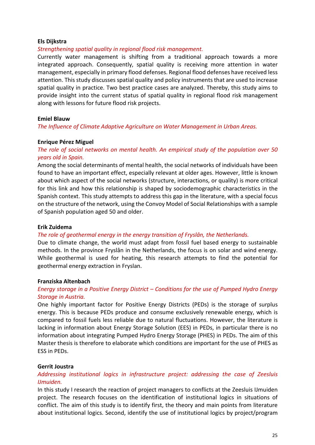#### **Els Dijkstra**

#### *Strengthening spatial quality in regional flood risk management.*

Currently water management is shifting from a traditional approach towards a more integrated approach. Consequently, spatial quality is receiving more attention in water management, especially in primary flood defenses. Regional flood defenses have received less attention. This study discusses spatial quality and policy instruments that are used to increase spatial quality in practice. Two best practice cases are analyzed. Thereby, this study aims to provide insight into the current status of spatial quality in regional flood risk management along with lessons for future flood risk projects.

#### **Emiel Blauw**

*The Influence of Climate Adaptive Agriculture on Water Management in Urban Areas.*

#### **Enrique Pérez Miguel**

*The role of social networks on mental health. An empirical study of the population over 50 years old in Spain.*

Among the social determinants of mental health, the social networks of individuals have been found to have an important effect, especially relevant at older ages. However, little is known about which aspect of the social networks (structure, interactions, or quality) is more critical for this link and how this relationship is shaped by sociodemographic characteristics in the Spanish context. This study attempts to address this gap in the literature, with a special focus on the structure of the network, using the Convoy Model of Social Relationships with a sample of Spanish population aged 50 and older.

#### **Erik Zuidema**

#### *The role of geothermal energy in the energy transition of Fryslân, the Netherlands.*

Due to climate change, the world must adapt from fossil fuel based energy to sustainable methods. In the province Fryslân in the Netherlands, the focus is on solar and wind energy. While geothermal is used for heating, this research attempts to find the potential for geothermal energy extraction in Fryslan.

#### **Franziska Altenbach**

#### *Energy storage in a Positive Energy District – Conditions for the use of Pumped Hydro Energy Storage in Austria.*

One highly important factor for Positive Energy Districts (PEDs) is the storage of surplus energy. This is because PEDs produce and consume exclusively renewable energy, which is compared to fossil fuels less reliable due to natural fluctuations. However, the literature is lacking in information about Energy Storage Solution (EES) in PEDs, in particular there is no information about integrating Pumped Hydro Energy Storage (PHES) in PEDs. The aim of this Master thesis is therefore to elaborate which conditions are important for the use of PHES as ESS in PEDs.

#### **Gerrit Joustra**

#### *Addressing institutional logics in infrastructure project: addressing the case of Zeesluis IJmuiden.*

In this study I research the reaction of project managers to conflicts at the Zeesluis IJmuiden project. The research focuses on the identification of institutional logics in situations of conflict. The aim of this study is to identify first, the theory and main points from literature about institutional logics. Second, identify the use of institutional logics by project/program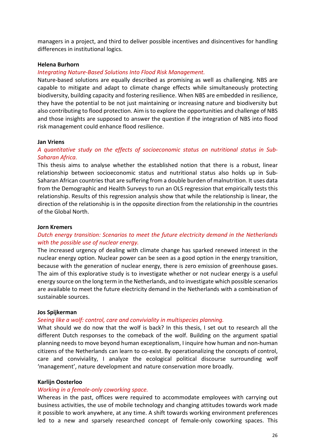managers in a project, and third to deliver possible incentives and disincentives for handling differences in institutional logics.

#### **Helena Burhorn**

#### *Integrating Nature-Based Solutions Into Flood Risk Management.*

Nature-based solutions are equally described as promising as well as challenging. NBS are capable to mitigate and adapt to climate change effects while simultaneously protecting biodiversity, building capacity and fostering resilience. When NBS are embedded in resilience, they have the potential to be not just maintaining or increasing nature and biodiversity but also contributing to flood protection. Aim is to explore the opportunities and challenge of NBS and those insights are supposed to answer the question if the integration of NBS into flood risk management could enhance flood resilience.

#### **Jan Vriens**

## *A quantitative study on the effects of socioeconomic status on nutritional status in Sub-Saharan Africa.*

This thesis aims to analyse whether the established notion that there is a robust, linear relationship between socioeconomic status and nutritional status also holds up in Sub-Saharan African countries that are suffering from a double burden of malnutrition. It uses data from the Demographic and Health Surveys to run an OLS regression that empirically tests this relationship. Results of this regression analysis show that while the relationship is linear, the direction of the relationship is in the opposite direction from the relationship in the countries of the Global North.

#### **Jorn Kremers**

## *Dutch energy transition: Scenarios to meet the future electricity demand in the Netherlands with the possible use of nuclear energy.*

The increased urgency of dealing with climate change has sparked renewed interest in the nuclear energy option. Nuclear power can be seen as a good option in the energy transition, because with the generation of nuclear energy, there is zero emission of greenhouse gases. The aim of this explorative study is to investigate whether or not nuclear energy is a useful energy source on the long term in the Netherlands, and to investigate which possible scenarios are available to meet the future electricity demand in the Netherlands with a combination of sustainable sources.

#### **Jos Spijkerman**

#### *Seeing like a wolf: control, care and conviviality in multispecies planning.*

What should we do now that the wolf is back? In this thesis, I set out to research all the different Dutch responses to the comeback of the wolf. Building on the argument spatial planning needs to move beyond human exceptionalism, I inquire how human and non-human citizens of the Netherlands can learn to co-exist. By operationalizing the concepts of control, care and conviviality, I analyze the ecological political discourse surrounding wolf 'management', nature development and nature conservation more broadly.

#### **Karlijn Oosterloo**

#### *Working in a female-only coworking space.*

Whereas in the past, offices were required to accommodate employees with carrying out business activities, the use of mobile technology and changing attitudes towards work made it possible to work anywhere, at any time. A shift towards working environment preferences led to a new and sparsely researched concept of female-only coworking spaces. This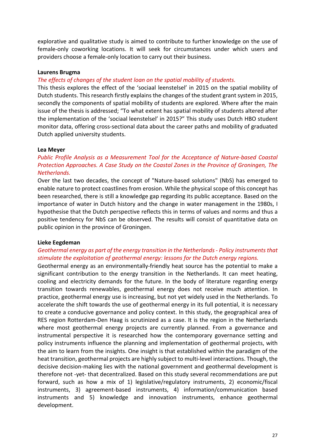explorative and qualitative study is aimed to contribute to further knowledge on the use of female-only coworking locations. It will seek for circumstances under which users and providers choose a female-only location to carry out their business.

#### **Laurens Brugma**

#### *The effects of changes of the student loan on the spatial mobility of students.*

This thesis explores the effect of the 'sociaal leenstelsel' in 2015 on the spatial mobility of Dutch students. This research firstly explains the changes of the student grant system in 2015, secondly the components of spatial mobility of students are explored. Where after the main issue of the thesis is addressed; "To what extent has spatial mobility of students altered after the implementation of the 'sociaal leenstelsel' in 2015?" This study uses Dutch HBO student monitor data, offering cross-sectional data about the career paths and mobility of graduated Dutch applied university students.

#### **Lea Meyer**

## *Public Profile Analysis as a Measurement Tool for the Acceptance of Nature-based Coastal Protection Approaches. A Case Study on the Coastal Zones in the Province of Groningen, The Netherlands.*

Over the last two decades, the concept of "Nature-based solutions" (NbS) has emerged to enable nature to protect coastlines from erosion. While the physical scope of this concept has been researched, there is still a knowledge gap regarding its public acceptance. Based on the importance of water in Dutch history and the change in water management in the 1980s, I hypothesise that the Dutch perspective reflects this in terms of values and norms and thus a positive tendency for NbS can be observed. The results will consist of quantitative data on public opinion in the province of Groningen.

#### **Lieke Eegdeman**

## *Geothermal energy as part of the energy transition in the Netherlands - Policy instruments that stimulate the exploitation of geothermal energy: lessons for the Dutch energy regions.*

Geothermal energy as an environmentally-friendly heat source has the potential to make a significant contribution to the energy transition in the Netherlands. It can meet heating, cooling and electricity demands for the future. In the body of literature regarding energy transition towards renewables, geothermal energy does not receive much attention. In practice, geothermal energy use is increasing, but not yet widely used in the Netherlands. To accelerate the shift towards the use of geothermal energy in its full potential, it is necessary to create a conducive governance and policy context. In this study, the geographical area of RES region Rotterdam-Den Haag is scrutinized as a case. It is the region in the Netherlands where most geothermal energy projects are currently planned. From a governance and instrumental perspective it is researched how the contemporary governance setting and policy instruments influence the planning and implementation of geothermal projects, with the aim to learn from the insights. One insight is that established within the paradigm of the heat transition, geothermal projects are highly subject to multi-level interactions. Though, the decisive decision-making lies with the national government and geothermal development is therefore not -yet- that decentralized. Based on this study several recommendations are put forward, such as how a mix of 1) legislative/regulatory instruments, 2) economic/fiscal instruments, 3) agreement-based instruments, 4) information/communication based instruments and 5) knowledge and innovation instruments, enhance geothermal development.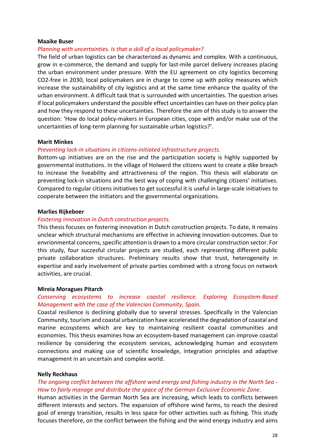#### **Maaike Buser**

#### *Planning with uncertainties. Is that a skill of a local policymaker?*

The field of urban logistics can be characterized as dynamic and complex. With a continuous, grow in e-commerce, the demand and supply for last-mile parcel delivery increases placing the urban environment under pressure. With the EU agreement on city logistics becoming CO2-free in 2030, local policymakers are in charge to come up with policy measures which increase the sustainability of city logistics and at the same time enhance the quality of the urban environment. A difficult task that is surrounded with uncertainties. The question arises if local policymakers understand the possible effect uncertainties can have on their policy plan and how they respond to these uncertainties. Therefore the aim of this study is to answer the question: 'How do local policy-makers in European cities, cope with and/or make use of the uncertainties of long-term planning for sustainable urban logistics?'.

#### **Marit Minkes**

#### *Preventing lock-in situations in citizens-initiated infrastructure projects.*

Bottom-up initiatives are on the rise and the participation society is highly supported by governmental institutions. In the village of Holwerd the citizens want to create a dike breach to increase the liveability and attractiveness of the region. This thesis will elaborate on preventing lock-in situations and the best way of coping with challenging citizens' initiatives. Compared to regular citizens initiatives to get successful it is useful in large-scale initiatives to cooperate between the initiators and the governmental organizations.

#### **Marlies Rijkeboer**

#### *Fostering innovation in Dutch construction projects.*

This thesis focuses on fostering innovation in Dutch construction projects. To date, it remains unclear which structural mechanisms are effective in achieving innovation outcomes. Due to envrionmental concerns, specific attention is drawn to a more circular construction sector. For this study, four succesful circular projects are studied, each representing different public private collaboration structures. Preliminary results show that trust, heterogeneity in expertise and early involvement of private parties combined with a strong focus on network activities, are crucial.

#### **Mireia Moragues Pitarch**

#### *Conserving ecosystems to increase coastal resilience. Exploring Ecosystem-Based Management with the case of the Valencian Community, Spain.*

Coastal resilience is declining globally due to several stresses. Specifically in the Valencian Community, tourism and coastal urbanization have accelerated the degradation of coastal and marine ecosystems which are key to maintaining resilient coastal communities and economies. This thesis examines how an ecosystem-based management can improve coastal resilience by considering the ecosystem services, acknowledging human and ecosystem connections and making use of scientific knowledge, integration principles and adaptive management in an uncertain and complex world.

#### **Nelly Reckhaus**

#### *The ongoing conflict between the offshore wind energy and fishing industry in the North Sea - How to fairly manage and distribute the space of the German Exclusive Economic Zone.*

Human activities in the German North Sea are increasing, which leads to conflicts between different interests and sectors. The expansion of offshore wind farms, to reach the desired goal of energy transition, results in less space for other activities such as fishing. This study focuses therefore, on the conflict between the fishing and the wind energy industry and aims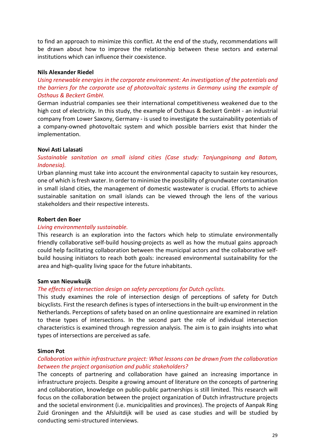to find an approach to minimize this conflict. At the end of the study, recommendations will be drawn about how to improve the relationship between these sectors and external institutions which can influence their coexistence.

#### **Nils Alexander Riedel**

*Using renewable energies in the corporate environment: An investigation of the potentials and the barriers for the corporate use of photovoltaic systems in Germany using the example of Osthaus & Beckert GmbH.*

German industrial companies see their international competitiveness weakened due to the high cost of electricity. In this study, the example of Osthaus & Beckert GmbH - an industrial company from Lower Saxony, Germany - is used to investigate the sustainability potentials of a company-owned photovoltaic system and which possible barriers exist that hinder the implementation.

#### **Novi Asti Lalasati**

## *Sustainable sanitation on small island cities (Case study: Tanjungpinang and Batam, Indonesia).*

Urban planning must take into account the environmental capacity to sustain key resources, one of which is fresh water. In order to minimize the possibility of groundwater contamination in small island cities, the management of domestic wastewater is crucial. Efforts to achieve sustainable sanitation on small islands can be viewed through the lens of the various stakeholders and their respective interests.

#### **Robert den Boer**

#### *Living environmentally sustainable.*

This research is an exploration into the factors which help to stimulate environmentally friendly collaborative self-build housing-projects as well as how the mutual gains approach could help facilitating collaboration between the municipal actors and the collaborative selfbuild housing initiators to reach both goals: increased environmental sustainability for the area and high-quality living space for the future inhabitants.

#### **Sam van Nieuwkuijk**

#### *The effects of intersection design on safety perceptions for Dutch cyclists.*

This study examines the role of intersection design of perceptions of safety for Dutch bicyclists. First the research defines is types of intersections in the built-up environment in the Netherlands. Perceptions of safety based on an online questionnaire are examined in relation to these types of intersections. In the second part the role of individual intersection characteristics is examined through regression analysis. The aim is to gain insights into what types of intersections are perceived as safe.

#### **Simon Pot**

#### *Collaboration within infrastructure project: What lessons can be drawn from the collaboration between the project organisation and public stakeholders?*

The concepts of partnering and collaboration have gained an increasing importance in infrastructure projects. Despite a growing amount of literature on the concepts of partnering and collaboration, knowledge on public-public partnerships is still limited. This research will focus on the collaboration between the project organization of Dutch infrastructure projects and the societal environment (i.e. municipalities and provinces). The projects of Aanpak Ring Zuid Groningen and the Afsluitdijk will be used as case studies and will be studied by conducting semi-structured interviews.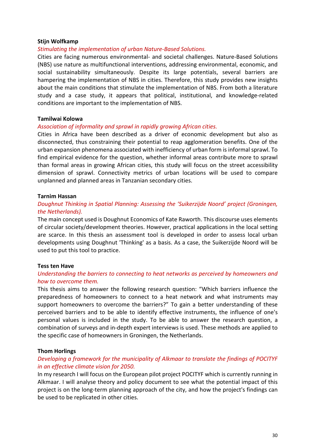#### **Stijn Wolfkamp**

#### *Stimulating the implementation of urban Nature-Based Solutions.*

Cities are facing numerous environmental- and societal challenges. Nature-Based Solutions (NBS) use nature as multifunctional interventions, addressing environmental, economic, and social sustainability simultaneously. Despite its large potentials, several barriers are hampering the implementation of NBS in cities. Therefore, this study provides new insights about the main conditions that stimulate the implementation of NBS. From both a literature study and a case study, it appears that political, institutional, and knowledge-related conditions are important to the implementation of NBS.

#### **Tamilwai Kolowa**

#### *Association of informality and sprawl in rapidly growing African cities.*

Cities in Africa have been described as a driver of economic development but also as disconnected, thus constraining their potential to reap agglomeration benefits. One of the urban expansion phenomena associated with inefficiency of urban form is informal sprawl. To find empirical evidence for the question, whether informal areas contribute more to sprawl than formal areas in growing African cities, this study will focus on the street accessibility dimension of sprawl. Connectivity metrics of urban locations will be used to compare unplanned and planned areas in Tanzanian secondary cities.

#### **Tarnim Hassan**

## *Doughnut Thinking in Spatial Planning: Assessing the 'Suikerzijde Noord' project (Groningen, the Netherlands).*

The main concept used is Doughnut Economics of Kate Raworth. This discourse uses elements of circular society/development theories. However, practical applications in the local setting are scarce. In this thesis an assessment tool is developed in order to assess local urban developments using Doughnut 'Thinking' as a basis. As a case, the Suikerzijde Noord will be used to put this tool to practice.

#### **Tess ten Have**

#### *Understanding the barriers to connecting to heat networks as perceived by homeowners and how to overcome them.*

This thesis aims to answer the following research question: "Which barriers influence the preparedness of homeowners to connect to a heat network and what instruments may support homeowners to overcome the barriers?" To gain a better understanding of these perceived barriers and to be able to identify effective instruments, the influence of one's personal values is included in the study. To be able to answer the research question, a combination of surveys and in-depth expert interviews is used. These methods are applied to the specific case of homeowners in Groningen, the Netherlands.

#### **Thom Horlings**

#### *Developing a framework for the municipality of Alkmaar to translate the findings of POCITYF in an effective climate vision for 2050.*

In my research I will focus on the European pilot project POCITYF which is currently running in Alkmaar. I will analyse theory and policy document to see what the potential impact of this project is on the long-term planning approach of the city, and how the project's findings can be used to be replicated in other cities.